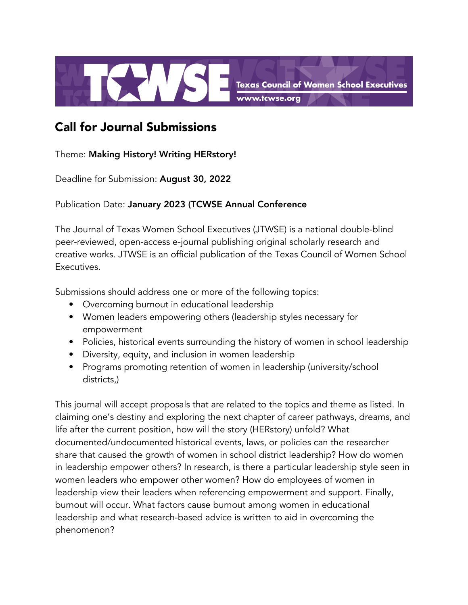

## Call for Journal Submissions

Theme: Making History! Writing HERstory!

Deadline for Submission: August 30, 2022

Publication Date: January 2023 (TCWSE Annual Conference

The Journal of Texas Women School Executives (JTWSE) is a national double-blind peer-reviewed, open-access e-journal publishing original scholarly research and creative works. JTWSE is an official publication of the Texas Council of Women School Executives.

Submissions should address one or more of the following topics:

- Overcoming burnout in educational leadership
- Women leaders empowering others (leadership styles necessary for empowerment
- Policies, historical events surrounding the history of women in school leadership
- Diversity, equity, and inclusion in women leadership
- Programs promoting retention of women in leadership (university/school districts,)

This journal will accept proposals that are related to the topics and theme as listed. In claiming one's destiny and exploring the next chapter of career pathways, dreams, and life after the current position, how will the story (HERstory) unfold? What documented/undocumented historical events, laws, or policies can the researcher share that caused the growth of women in school district leadership? How do women in leadership empower others? In research, is there a particular leadership style seen in women leaders who empower other women? How do employees of women in leadership view their leaders when referencing empowerment and support. Finally, burnout will occur. What factors cause burnout among women in educational leadership and what research-based advice is written to aid in overcoming the phenomenon?